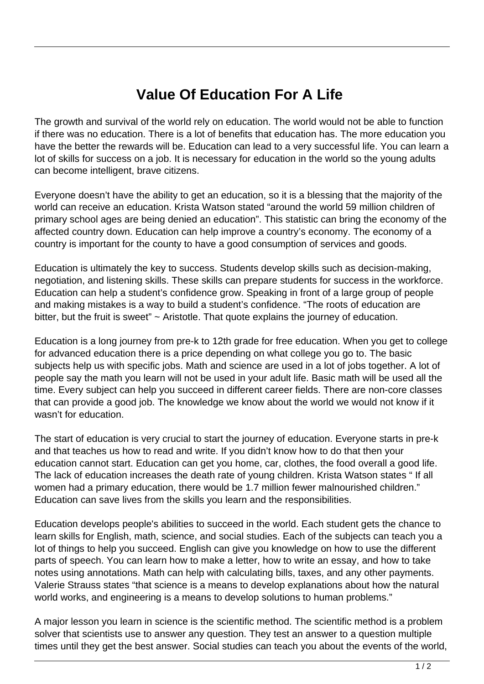## **Value Of Education For A Life**

The growth and survival of the world rely on education. The world would not be able to function if there was no education. There is a lot of benefits that education has. The more education you have the better the rewards will be. Education can lead to a very successful life. You can learn a lot of skills for success on a job. It is necessary for education in the world so the young adults can become intelligent, brave citizens.

Everyone doesn't have the ability to get an education, so it is a blessing that the majority of the world can receive an education. Krista Watson stated "around the world 59 million children of primary school ages are being denied an education". This statistic can bring the economy of the affected country down. Education can help improve a country's economy. The economy of a country is important for the county to have a good consumption of services and goods.

Education is ultimately the key to success. Students develop skills such as decision-making, negotiation, and listening skills. These skills can prepare students for success in the workforce. Education can help a student's confidence grow. Speaking in front of a large group of people and making mistakes is a way to build a student's confidence. "The roots of education are bitter, but the fruit is sweet" ~ Aristotle. That quote explains the journey of education.

Education is a long journey from pre-k to 12th grade for free education. When you get to college for advanced education there is a price depending on what college you go to. The basic subjects help us with specific jobs. Math and science are used in a lot of jobs together. A lot of people say the math you learn will not be used in your adult life. Basic math will be used all the time. Every subject can help you succeed in different career fields. There are non-core classes that can provide a good job. The knowledge we know about the world we would not know if it wasn't for education.

The start of education is very crucial to start the journey of education. Everyone starts in pre-k and that teaches us how to read and write. If you didn't know how to do that then your education cannot start. Education can get you home, car, clothes, the food overall a good life. The lack of education increases the death rate of young children. Krista Watson states " If all women had a primary education, there would be 1.7 million fewer malnourished children." Education can save lives from the skills you learn and the responsibilities.

Education develops people's abilities to succeed in the world. Each student gets the chance to learn skills for English, math, science, and social studies. Each of the subjects can teach you a lot of things to help you succeed. English can give you knowledge on how to use the different parts of speech. You can learn how to make a letter, how to write an essay, and how to take notes using annotations. Math can help with calculating bills, taxes, and any other payments. Valerie Strauss states "that science is a means to develop explanations about how the natural world works, and engineering is a means to develop solutions to human problems."

A major lesson you learn in science is the scientific method. The scientific method is a problem solver that scientists use to answer any question. They test an answer to a question multiple times until they get the best answer. Social studies can teach you about the events of the world,